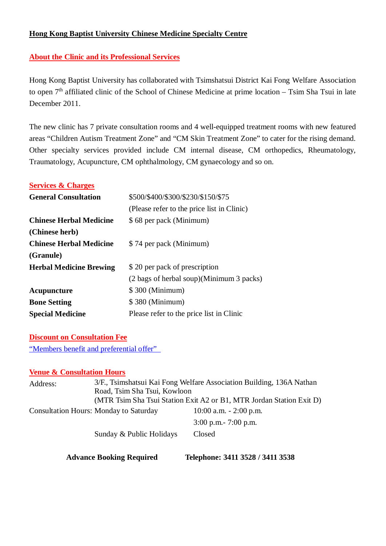## **Hong Kong Baptist University Chinese Medicine Specialty Centre**

# **About the Clinic and its Professional Services**

Hong Kong Baptist University has collaborated with Tsimshatsui District Kai Fong Welfare Association to open  $7<sup>th</sup>$  affiliated clinic of the School of Chinese Medicine at prime location – Tsim Sha Tsui in late December 2011.

The new clinic has 7 private consultation rooms and 4 well-equipped treatment rooms with new featured areas "Children Autism Treatment Zone" and "CM Skin Treatment Zone" to cater for the rising demand. Other specialty services provided include CM internal disease, CM orthopedics, Rheumatology, Traumatology, Acupuncture, CM ophthalmology, CM gynaecology and so on.

### **Services & Charges**

| <b>General Consultation</b>    | \$500/\$400/\$300/\$230/\$150/\$75         |  |
|--------------------------------|--------------------------------------------|--|
|                                | (Please refer to the price list in Clinic) |  |
| <b>Chinese Herbal Medicine</b> | \$68 per pack (Minimum)                    |  |
| (Chinese herb)                 |                                            |  |
| <b>Chinese Herbal Medicine</b> | \$74 per pack (Minimum)                    |  |
| (Granule)                      |                                            |  |
| <b>Herbal Medicine Brewing</b> | \$20 per pack of prescription              |  |
|                                | (2 bags of herbal soup)(Minimum 3 packs)   |  |
| Acupuncture                    | \$300 (Minimum)                            |  |
| <b>Bone Setting</b>            | \$380 (Minimum)                            |  |
| <b>Special Medicine</b>        | Please refer to the price list in Clinic   |  |

### **Discount on Consultation Fee**

"Members benefit and preferential offer"

### **Venue & Consultation Hours**

| Address: |                                                                      | 3/F., Tsimshatsui Kai Fong Welfare Association Building, 136A Nathan |  |
|----------|----------------------------------------------------------------------|----------------------------------------------------------------------|--|
|          | Road, Tsim Sha Tsui, Kowloon                                         |                                                                      |  |
|          | (MTR Tsim Sha Tsui Station Exit A2 or B1, MTR Jordan Station Exit D) |                                                                      |  |
|          | <b>Consultation Hours: Monday to Saturday</b>                        | $10:00$ a.m. $-2:00$ p.m.                                            |  |
|          |                                                                      | $3:00$ p.m. $-7:00$ p.m.                                             |  |
|          | Sunday & Public Holidays                                             | Closed                                                               |  |
|          |                                                                      |                                                                      |  |

**Advance Booking Required Telephone: 3411 3528 / 3411 3538**